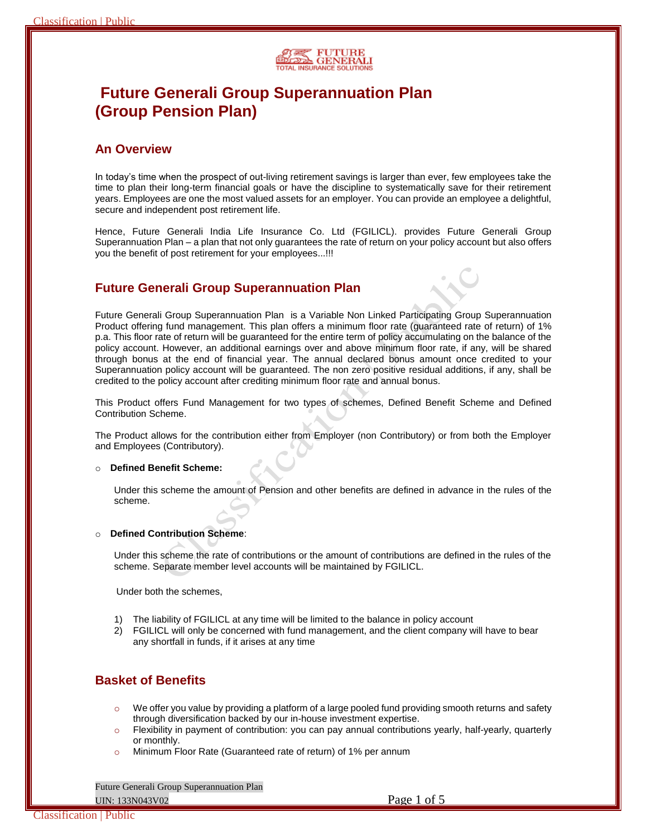

# **Future Generali Group Superannuation Plan (Group Pension Plan)**

## **An Overview**

In today's time when the prospect of out-living retirement savings is larger than ever, few employees take the time to plan their long-term financial goals or have the discipline to systematically save for their retirement years. Employees are one the most valued assets for an employer. You can provide an employee a delightful, secure and independent post retirement life.

Hence, Future Generali India Life Insurance Co. Ltd (FGILICL). provides Future Generali Group Superannuation Plan – a plan that not only guarantees the rate of return on your policy account but also offers you the benefit of post retirement for your employees...!!!

## **Future Generali Group Superannuation Plan**

Future Generali Group Superannuation Plan is a Variable Non Linked Participating Group Superannuation Product offering fund management. This plan offers a minimum floor rate (guaranteed rate of return) of 1% p.a. This floor rate of return will be guaranteed for the entire term of policy accumulating on the balance of the policy account. However, an additional earnings over and above minimum floor rate, if any, will be shared through bonus at the end of financial year. The annual declared bonus amount once credited to your Superannuation policy account will be guaranteed. The non zero positive residual additions, if any, shall be credited to the policy account after crediting minimum floor rate and annual bonus.

This Product offers Fund Management for two types of schemes, Defined Benefit Scheme and Defined Contribution Scheme.

The Product allows for the contribution either from Employer (non Contributory) or from both the Employer and Employees (Contributory).

#### **Defined Benefit Scheme:**

Under this scheme the amount of Pension and other benefits are defined in advance in the rules of the scheme.

### **Defined Contribution Scheme:**

Under this scheme the rate of contributions or the amount of contributions are defined in the rules of the scheme. Separate member level accounts will be maintained by FGILICL.

Under both the schemes,

- 1) The liability of FGILICL at any time will be limited to the balance in policy account
- 2) FGILICL will only be concerned with fund management, and the client company will have to bear any shortfall in funds, if it arises at any time

## **Basket of Benefits**

- $\circ$  We offer you value by providing a platform of a large pooled fund providing smooth returns and safety through diversification backed by our in-house investment expertise.
- $\circ$  Flexibility in payment of contribution: you can pay annual contributions yearly, half-yearly, quarterly or monthly.
- o Minimum Floor Rate (Guaranteed rate of return) of 1% per annum

Future Generali Group Superannuation Plan UIN: 133N043V02 Page 1 of 5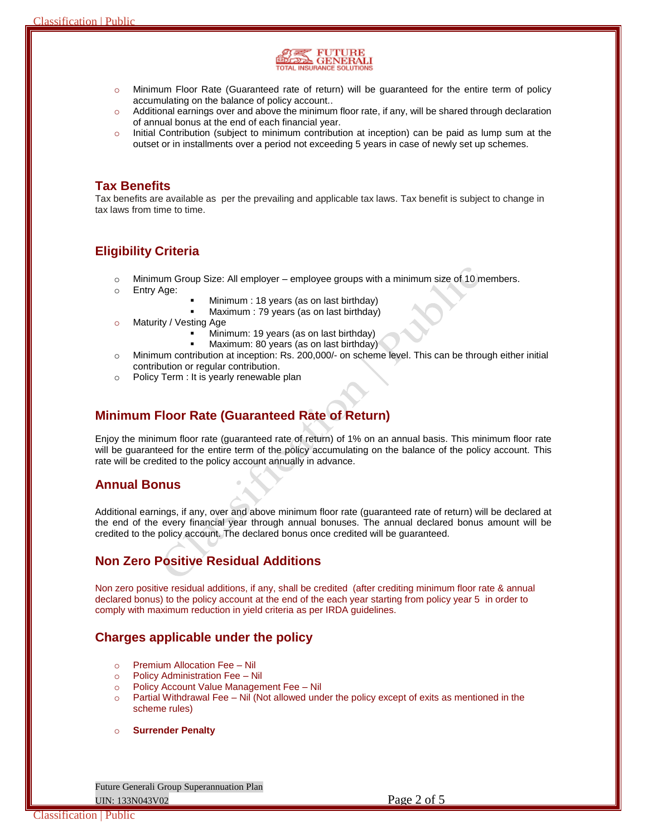

- o Minimum Floor Rate (Guaranteed rate of return) will be guaranteed for the entire term of policy accumulating on the balance of policy account..
- o Additional earnings over and above the minimum floor rate, if any, will be shared through declaration of annual bonus at the end of each financial year.
- $\circ$  Initial Contribution (subject to minimum contribution at inception) can be paid as lump sum at the outset or in installments over a period not exceeding 5 years in case of newly set up schemes.

## **Tax Benefits**

Tax benefits are available as per the prevailing and applicable tax laws. Tax benefit is subject to change in tax laws from time to time.

## **Eligibility Criteria**

- $\circ$  Minimum Group Size: All employer employee groups with a minimum size of 10 members.
- o Entry Age:
- Minimum : 18 years (as on last birthday)
- Maximum : 79 years (as on last birthday)
- o Maturity / Vesting Age
	- Minimum: 19 years (as on last birthday)
	- Maximum: 80 years (as on last birthday)
- o Minimum contribution at inception: Rs. 200,000/- on scheme level. This can be through either initial contribution or regular contribution.
- o Policy Term : It is yearly renewable plan

## **Minimum Floor Rate (Guaranteed Rate of Return)**

Enjoy the minimum floor rate (guaranteed rate of return) of 1% on an annual basis. This minimum floor rate will be guaranteed for the entire term of the policy accumulating on the balance of the policy account. This rate will be credited to the policy account annually in advance.

## **Annual Bonus**

Additional earnings, if any, over and above minimum floor rate (guaranteed rate of return) will be declared at the end of the every financial year through annual bonuses. The annual declared bonus amount will be credited to the policy account. The declared bonus once credited will be guaranteed.

## **Non Zero Positive Residual Additions**

Non zero positive residual additions, if any, shall be credited (after crediting minimum floor rate & annual declared bonus) to the policy account at the end of the each year starting from policy year 5 in order to comply with maximum reduction in yield criteria as per IRDA guidelines.

## **Charges applicable under the policy**

- o Premium Allocation Fee Nil
- o Policy Administration Fee Nil
- o Policy Account Value Management Fee Nil
- $\circ$  Partial Withdrawal Fee Nil (Not allowed under the policy except of exits as mentioned in the scheme rules)
- o **Surrender Penalty**

Future Generali Group Superannuation Plan UIN: 133N043V02 Page 2 of 5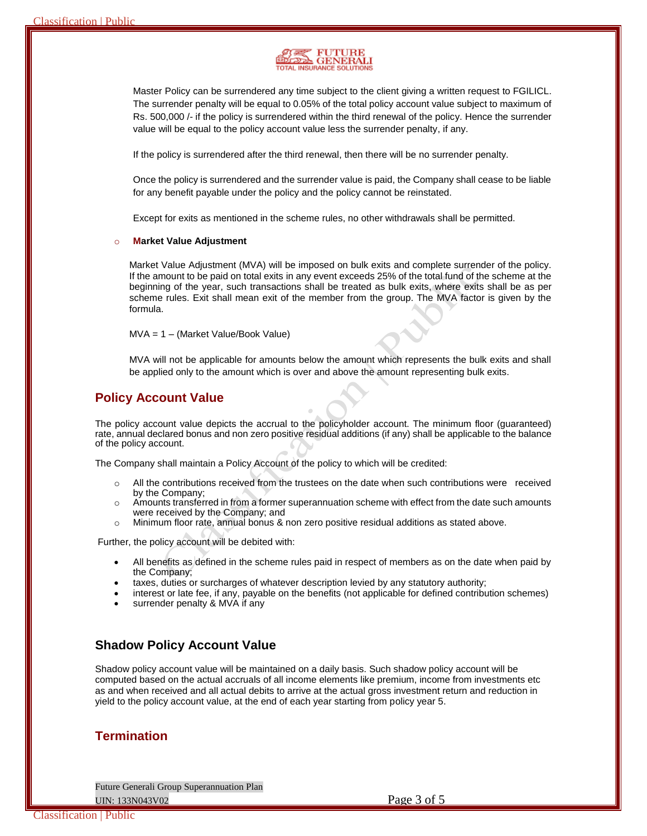

Master Policy can be surrendered any time subject to the client giving a written request to FGILICL. The surrender penalty will be equal to 0.05% of the total policy account value subject to maximum of Rs. 500,000 /- if the policy is surrendered within the third renewal of the policy. Hence the surrender value will be equal to the policy account value less the surrender penalty, if any.

If the policy is surrendered after the third renewal, then there will be no surrender penalty.

Once the policy is surrendered and the surrender value is paid, the Company shall cease to be liable for any benefit payable under the policy and the policy cannot be reinstated.

Except for exits as mentioned in the scheme rules, no other withdrawals shall be permitted.

#### **Market Value Adjustment**

Market Value Adjustment (MVA) will be imposed on bulk exits and complete surrender of the policy. If the amount to be paid on total exits in any event exceeds 25% of the total fund of the scheme at the beginning of the year, such transactions shall be treated as bulk exits, where exits shall be as per scheme rules. Exit shall mean exit of the member from the group. The MVA factor is given by the formula.

MVA = 1 – (Market Value/Book Value)

MVA will not be applicable for amounts below the amount which represents the bulk exits and shall be applied only to the amount which is over and above the amount representing bulk exits.

## **Policy Account Value**

The policy account value depicts the accrual to the policyholder account. The minimum floor (guaranteed) rate, annual declared bonus and non zero positive residual additions (if any) shall be applicable to the balance of the policy account.

The Company shall maintain a Policy Account of the policy to which will be credited:

- $\circ$  All the contributions received from the trustees on the date when such contributions were received by the Company;
- $\circ$  Amounts transferred in from a former superannuation scheme with effect from the date such amounts were received by the Company; and
- o Minimum floor rate, annual bonus & non zero positive residual additions as stated above.

Further, the policy account will be debited with:

- All benefits as defined in the scheme rules paid in respect of members as on the date when paid by the Company;
- taxes, duties or surcharges of whatever description levied by any statutory authority;
- interest or late fee, if any, payable on the benefits (not applicable for defined contribution schemes)
- surrender penalty & MVA if any

## **Shadow Policy Account Value**

Shadow policy account value will be maintained on a daily basis. Such shadow policy account will be computed based on the actual accruals of all income elements like premium, income from investments etc as and when received and all actual debits to arrive at the actual gross investment return and reduction in yield to the policy account value, at the end of each year starting from policy year 5.

## **Termination**

Future Generali Group Superannuation Plan UIN: 133N043V02 Page 3 of 5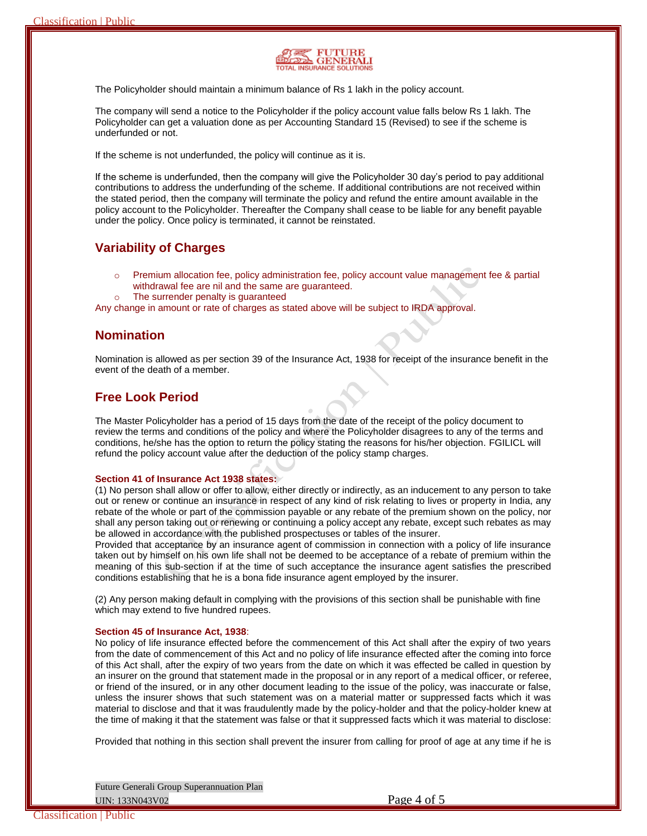

The Policyholder should maintain a minimum balance of Rs 1 lakh in the policy account.

The company will send a notice to the Policyholder if the policy account value falls below Rs 1 lakh. The Policyholder can get a valuation done as per Accounting Standard 15 (Revised) to see if the scheme is underfunded or not.

If the scheme is not underfunded, the policy will continue as it is.

If the scheme is underfunded, then the company will give the Policyholder 30 day's period to pay additional contributions to address the underfunding of the scheme. If additional contributions are not received within the stated period, then the company will terminate the policy and refund the entire amount available in the policy account to the Policyholder. Thereafter the Company shall cease to be liable for any benefit payable under the policy. Once policy is terminated, it cannot be reinstated.

## **Variability of Charges**

- $\circ$  Premium allocation fee, policy administration fee, policy account value management fee & partial withdrawal fee are nil and the same are guaranteed.
- o The surrender penalty is guaranteed

Any change in amount or rate of charges as stated above will be subject to IRDA approval.

### **Nomination**

Nomination is allowed as per section 39 of the Insurance Act, 1938 for receipt of the insurance benefit in the event of the death of a member.

### **Free Look Period**

The Master Policyholder has a period of 15 days from the date of the receipt of the policy document to review the terms and conditions of the policy and where the Policyholder disagrees to any of the terms and conditions, he/she has the option to return the policy stating the reasons for his/her objection. FGILICL will refund the policy account value after the deduction of the policy stamp charges.

#### **Section 41 of Insurance Act 1938 states:**

(1) No person shall allow or offer to allow, either directly or indirectly, as an inducement to any person to take out or renew or continue an insurance in respect of any kind of risk relating to lives or property in India, any rebate of the whole or part of the commission payable or any rebate of the premium shown on the policy, nor shall any person taking out or renewing or continuing a policy accept any rebate, except such rebates as may be allowed in accordance with the published prospectuses or tables of the insurer.

Provided that acceptance by an insurance agent of commission in connection with a policy of life insurance taken out by himself on his own life shall not be deemed to be acceptance of a rebate of premium within the meaning of this sub-section if at the time of such acceptance the insurance agent satisfies the prescribed conditions establishing that he is a bona fide insurance agent employed by the insurer.

(2) Any person making default in complying with the provisions of this section shall be punishable with fine which may extend to five hundred rupees.

#### **Section 45 of Insurance Act, 1938**:

No policy of life insurance effected before the commencement of this Act shall after the expiry of two years from the date of commencement of this Act and no policy of life insurance effected after the coming into force of this Act shall, after the expiry of two years from the date on which it was effected be called in question by an insurer on the ground that statement made in the proposal or in any report of a medical officer, or referee, or friend of the insured, or in any other document leading to the issue of the policy, was inaccurate or false, unless the insurer shows that such statement was on a material matter or suppressed facts which it was material to disclose and that it was fraudulently made by the policy-holder and that the policy-holder knew at the time of making it that the statement was false or that it suppressed facts which it was material to disclose:

Provided that nothing in this section shall prevent the insurer from calling for proof of age at any time if he is

Future Generali Group Superannuation Plan UIN: 133N043V02 Page 4 of 5